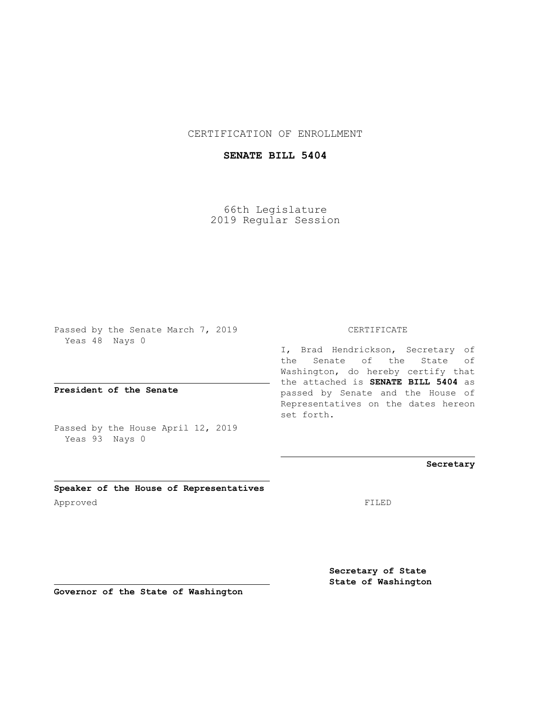CERTIFICATION OF ENROLLMENT

## **SENATE BILL 5404**

66th Legislature 2019 Regular Session

Passed by the Senate March 7, 2019 Yeas 48 Nays 0

**President of the Senate**

Passed by the House April 12, 2019 Yeas 93 Nays 0

**Speaker of the House of Representatives** Approved FILED

CERTIFICATE

I, Brad Hendrickson, Secretary of the Senate of the State of Washington, do hereby certify that the attached is **SENATE BILL 5404** as passed by Senate and the House of Representatives on the dates hereon set forth.

**Secretary**

**Secretary of State State of Washington**

**Governor of the State of Washington**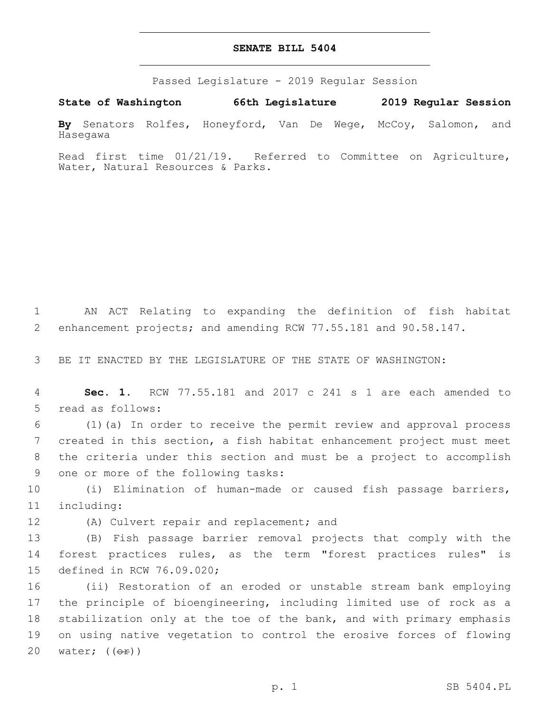## **SENATE BILL 5404**

Passed Legislature - 2019 Regular Session

**State of Washington 66th Legislature 2019 Regular Session**

**By** Senators Rolfes, Honeyford, Van De Wege, McCoy, Salomon, and Hasegawa

Read first time 01/21/19. Referred to Committee on Agriculture, Water, Natural Resources & Parks.

1 AN ACT Relating to expanding the definition of fish habitat 2 enhancement projects; and amending RCW 77.55.181 and 90.58.147.

3 BE IT ENACTED BY THE LEGISLATURE OF THE STATE OF WASHINGTON:

4 **Sec. 1.** RCW 77.55.181 and 2017 c 241 s 1 are each amended to 5 read as follows:

 (1)(a) In order to receive the permit review and approval process created in this section, a fish habitat enhancement project must meet the criteria under this section and must be a project to accomplish 9 one or more of the following tasks:

10 (i) Elimination of human-made or caused fish passage barriers, 11 including:

12 (A) Culvert repair and replacement; and

13 (B) Fish passage barrier removal projects that comply with the 14 forest practices rules, as the term "forest practices rules" is 15 defined in RCW 76.09.020;

 (ii) Restoration of an eroded or unstable stream bank employing the principle of bioengineering, including limited use of rock as a stabilization only at the toe of the bank, and with primary emphasis on using native vegetation to control the erosive forces of flowing 20 water;  $((\theta \cdot \hat{r}))$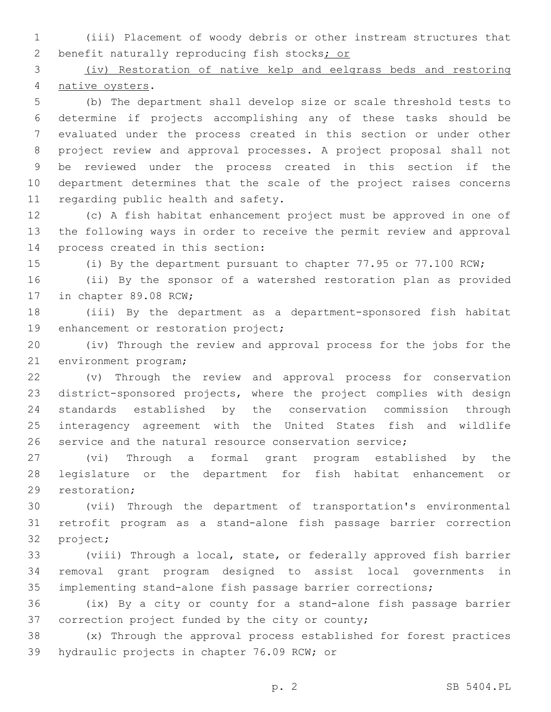(iii) Placement of woody debris or other instream structures that 2 benefit naturally reproducing fish stocks; or

 (iv) Restoration of native kelp and eelgrass beds and restoring 4 native oysters.

 (b) The department shall develop size or scale threshold tests to determine if projects accomplishing any of these tasks should be evaluated under the process created in this section or under other project review and approval processes. A project proposal shall not be reviewed under the process created in this section if the department determines that the scale of the project raises concerns 11 regarding public health and safety.

 (c) A fish habitat enhancement project must be approved in one of the following ways in order to receive the permit review and approval 14 process created in this section:

(i) By the department pursuant to chapter 77.95 or 77.100 RCW;

 (ii) By the sponsor of a watershed restoration plan as provided 17 in chapter 89.08 RCW;

 (iii) By the department as a department-sponsored fish habitat 19 enhancement or restoration project;

 (iv) Through the review and approval process for the jobs for the 21 environment program;

 (v) Through the review and approval process for conservation district-sponsored projects, where the project complies with design standards established by the conservation commission through interagency agreement with the United States fish and wildlife service and the natural resource conservation service;

 (vi) Through a formal grant program established by the legislature or the department for fish habitat enhancement or 29 restoration;

 (vii) Through the department of transportation's environmental retrofit program as a stand-alone fish passage barrier correction 32 project;

 (viii) Through a local, state, or federally approved fish barrier removal grant program designed to assist local governments in implementing stand-alone fish passage barrier corrections;

 (ix) By a city or county for a stand-alone fish passage barrier 37 correction project funded by the city or county;

 (x) Through the approval process established for forest practices 39 hydraulic projects in chapter 76.09 RCW; or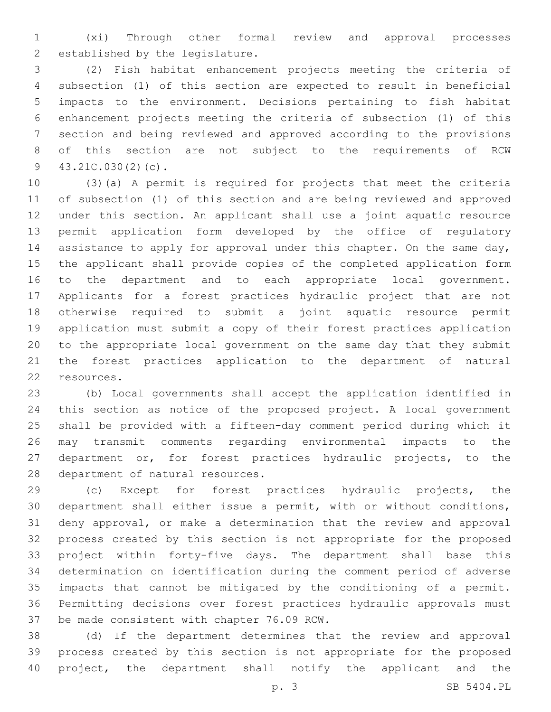(xi) Through other formal review and approval processes 2 established by the legislature.

 (2) Fish habitat enhancement projects meeting the criteria of subsection (1) of this section are expected to result in beneficial impacts to the environment. Decisions pertaining to fish habitat enhancement projects meeting the criteria of subsection (1) of this section and being reviewed and approved according to the provisions of this section are not subject to the requirements of RCW  $43.21C.030(2)(c)$ .

 (3)(a) A permit is required for projects that meet the criteria of subsection (1) of this section and are being reviewed and approved under this section. An applicant shall use a joint aquatic resource permit application form developed by the office of regulatory 14 assistance to apply for approval under this chapter. On the same day, the applicant shall provide copies of the completed application form to the department and to each appropriate local government. Applicants for a forest practices hydraulic project that are not otherwise required to submit a joint aquatic resource permit application must submit a copy of their forest practices application to the appropriate local government on the same day that they submit the forest practices application to the department of natural 22 resources.

 (b) Local governments shall accept the application identified in this section as notice of the proposed project. A local government shall be provided with a fifteen-day comment period during which it may transmit comments regarding environmental impacts to the department or, for forest practices hydraulic projects, to the 28 department of natural resources.

 (c) Except for forest practices hydraulic projects, the department shall either issue a permit, with or without conditions, deny approval, or make a determination that the review and approval process created by this section is not appropriate for the proposed project within forty-five days. The department shall base this determination on identification during the comment period of adverse impacts that cannot be mitigated by the conditioning of a permit. Permitting decisions over forest practices hydraulic approvals must 37 be made consistent with chapter 76.09 RCW.

 (d) If the department determines that the review and approval process created by this section is not appropriate for the proposed project, the department shall notify the applicant and the

p. 3 SB 5404.PL